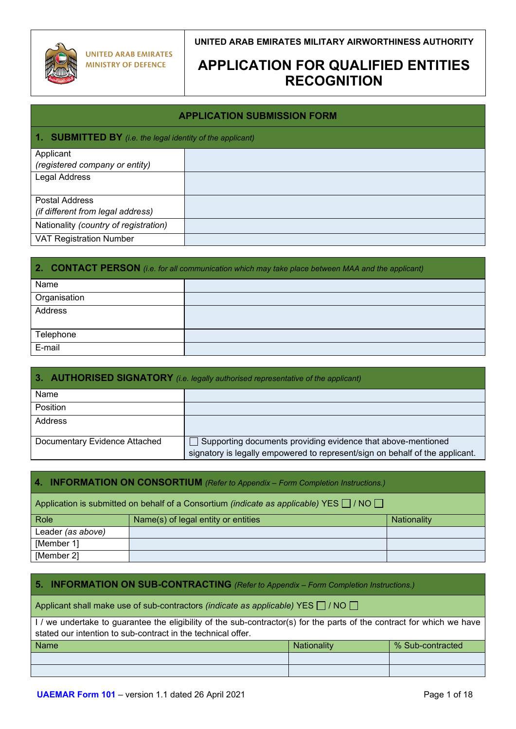

[Member 2]

**UNITED ARAB EMIRATES MILITARY AIRWORTHINESS AUTHORITY**

## **APPLICATION FOR QUALIFIED ENTITIES RECOGNITION**

### **APPLICATION SUBMISSION FORM**

#### **1. I. BY** *(i.e. the legal identity of the applicant)*

|                                       | the contract of the contract of |
|---------------------------------------|---------------------------------|
| Applicant                             |                                 |
| (registered company or entity)        |                                 |
| Legal Address                         |                                 |
|                                       |                                 |
| <b>Postal Address</b>                 |                                 |
| (if different from legal address)     |                                 |
| Nationality (country of registration) |                                 |
| <b>VAT Registration Number</b>        |                                 |
|                                       |                                 |

| 2. CONTACT PERSON (i.e. for all communication which may take place between MAA and the applicant) |  |  |
|---------------------------------------------------------------------------------------------------|--|--|
| Name                                                                                              |  |  |
| Organisation                                                                                      |  |  |
| Address                                                                                           |  |  |
| Telephone                                                                                         |  |  |
| E-mail                                                                                            |  |  |

| 3. AUTHORISED SIGNATORY (i.e. legally authorised representative of the applicant) |                                                                                                                                              |  |  |
|-----------------------------------------------------------------------------------|----------------------------------------------------------------------------------------------------------------------------------------------|--|--|
| Name                                                                              |                                                                                                                                              |  |  |
| Position                                                                          |                                                                                                                                              |  |  |
| Address                                                                           |                                                                                                                                              |  |  |
| Documentary Evidence Attached                                                     | Supporting documents providing evidence that above-mentioned<br>signatory is legally empowered to represent/sign on behalf of the applicant. |  |  |

## **4. INFORMATION ON CONSORTIUM** *(Refer to Appendix – Form Completion Instructions.)* Application is submitted on behalf of a Consortium *(indicate as applicable)* YES  $\Box$  / NO  $\Box$ Role Name(s) of legal entity or entities National Nationality Leader *(as above)* [Member 1]

### **5. INFORMATION ON SUB-CONTRACTING** *(Refer to Appendix – Form Completion Instructions.)*

Applicant shall make use of sub-contractors *(indicate as applicable)* YES  $\Box$  / NO  $\Box$ 

I / we undertake to guarantee the eligibility of the sub-contractor(s) for the parts of the contract for which we have stated our intention to sub-contract in the technical offer.

| Name | Nationality | % Sub-contracted |
|------|-------------|------------------|
|      |             |                  |
|      |             |                  |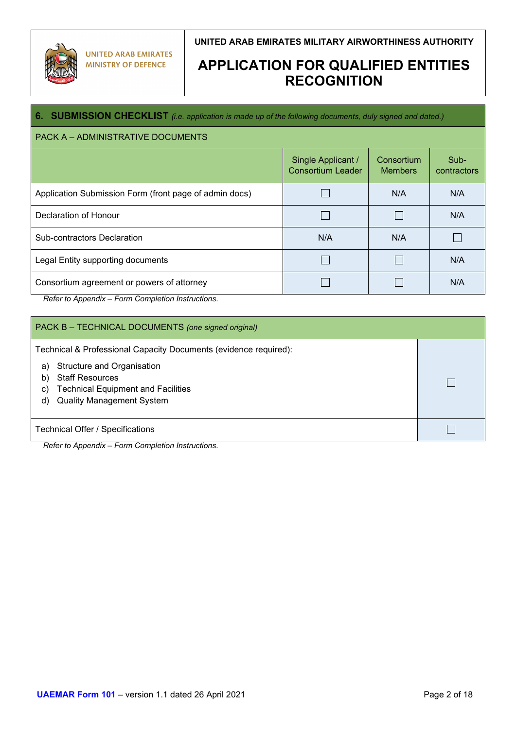

## **APPLICATION FOR QUALIFIED ENTITIES RECOGNITION**

### **6. SUBMISSION CHECKLIST** *(i.e. application is made up of the following documents, duly signed and dated.)*

### PACK A – ADMINISTRATIVE DOCUMENTS

| TAVILA – ADIVINIVU ITVATIVE DOGOIVIENTO                |                                                |                              |                     |
|--------------------------------------------------------|------------------------------------------------|------------------------------|---------------------|
|                                                        | Single Applicant /<br><b>Consortium Leader</b> | Consortium<br><b>Members</b> | Sub-<br>contractors |
| Application Submission Form (front page of admin docs) |                                                | N/A                          | N/A                 |
| Declaration of Honour                                  |                                                |                              | N/A                 |
| Sub-contractors Declaration                            | N/A                                            | N/A                          |                     |
| Legal Entity supporting documents                      |                                                |                              | N/A                 |
| Consortium agreement or powers of attorney             |                                                |                              | N/A                 |

*Refer to Appendix – Form Completion Instructions.*

| PACK B - TECHNICAL DOCUMENTS (one signed original)                                                                                                                                                                                |  |  |
|-----------------------------------------------------------------------------------------------------------------------------------------------------------------------------------------------------------------------------------|--|--|
| Technical & Professional Capacity Documents (evidence required):<br>Structure and Organisation<br>a)<br><b>Staff Resources</b><br>b)<br><b>Technical Equipment and Facilities</b><br>C)<br><b>Quality Management System</b><br>d) |  |  |
| <b>Technical Offer / Specifications</b>                                                                                                                                                                                           |  |  |

*Refer to Appendix – Form Completion Instructions.*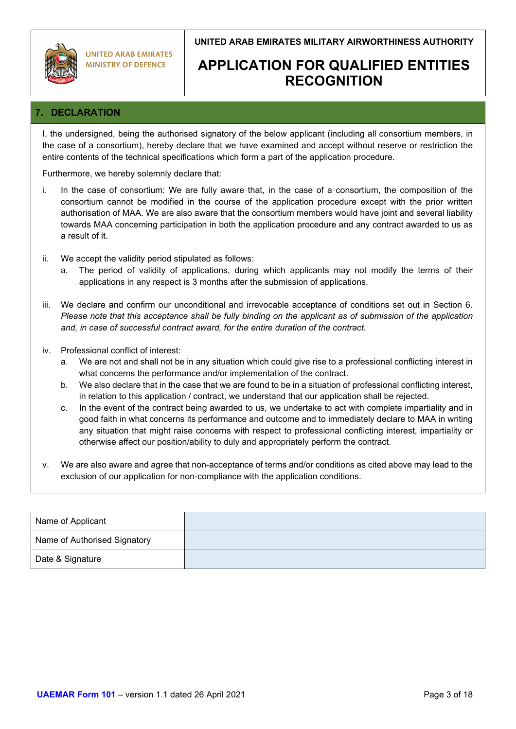

## **APPLICATION FOR QUALIFIED ENTITIES RECOGNITION**

## **7. DECLARATION**

I, the undersigned, being the authorised signatory of the below applicant (including all consortium members, in the case of a consortium), hereby declare that we have examined and accept without reserve or restriction the entire contents of the technical specifications which form a part of the application procedure.

Furthermore, we hereby solemnly declare that:

- i. In the case of consortium: We are fully aware that, in the case of a consortium, the composition of the consortium cannot be modified in the course of the application procedure except with the prior written authorisation of MAA. We are also aware that the consortium members would have joint and several liability towards MAA concerning participation in both the application procedure and any contract awarded to us as a result of it.
- ii. We accept the validity period stipulated as follows:
	- a. The period of validity of applications, during which applicants may not modify the terms of their applications in any respect is 3 months after the submission of applications.
- iii. We declare and confirm our unconditional and irrevocable acceptance of conditions set out in Section 6. *Please note that this acceptance shall be fully binding on the applicant as of submission of the application and, in case of successful contract award, for the entire duration of the contract.*
- iv. Professional conflict of interest:
	- a. We are not and shall not be in any situation which could give rise to a professional conflicting interest in what concerns the performance and/or implementation of the contract.
	- b. We also declare that in the case that we are found to be in a situation of professional conflicting interest, in relation to this application / contract, we understand that our application shall be rejected.
	- c. In the event of the contract being awarded to us, we undertake to act with complete impartiality and in good faith in what concerns its performance and outcome and to immediately declare to MAA in writing any situation that might raise concerns with respect to professional conflicting interest, impartiality or otherwise affect our position/ability to duly and appropriately perform the contract.
- v. We are also aware and agree that non-acceptance of terms and/or conditions as cited above may lead to the exclusion of our application for non-compliance with the application conditions.

| Name of Applicant            |  |
|------------------------------|--|
| Name of Authorised Signatory |  |
| Date & Signature             |  |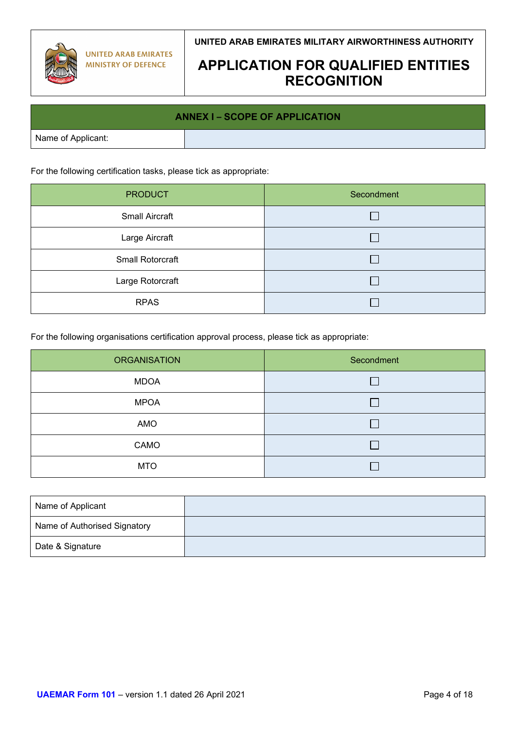

## **APPLICATION FOR QUALIFIED ENTITIES RECOGNITION**

# **ANNEX I – SCOPE OF APPLICATION** Name of Applicant:

For the following certification tasks, please tick as appropriate:

| <b>PRODUCT</b>        | Secondment |
|-----------------------|------------|
| <b>Small Aircraft</b> |            |
| Large Aircraft        |            |
| Small Rotorcraft      |            |
| Large Rotorcraft      |            |
| <b>RPAS</b>           |            |

For the following organisations certification approval process, please tick as appropriate:

| <b>ORGANISATION</b> | Secondment |
|---------------------|------------|
| <b>MDOA</b>         |            |
| <b>MPOA</b>         |            |
| AMO                 |            |
| CAMO                | L.         |
| <b>MTO</b>          |            |

| Name of Applicant            |  |
|------------------------------|--|
| Name of Authorised Signatory |  |
| Date & Signature             |  |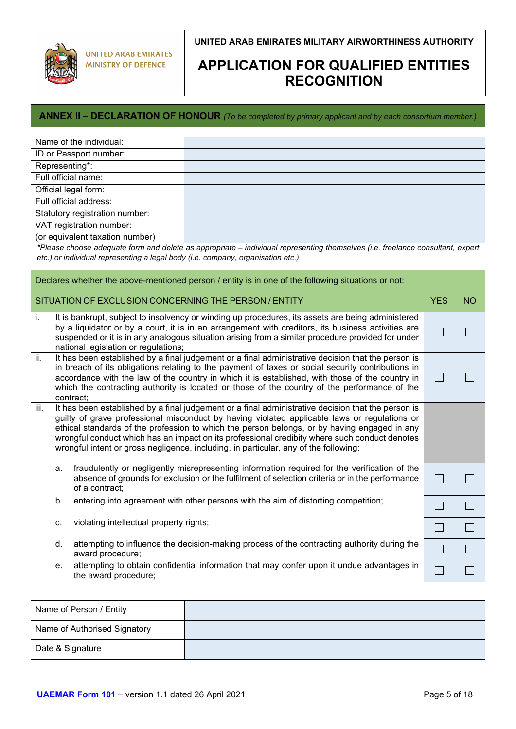

## **APPLICATION FOR QUALIFIED ENTITIES RECOGNITION**

### **ANNEX II – DECLARATION OF HONOUR** *(To be completed by primary applicant and by each consortium member.)*

| Name of the individual:         |  |
|---------------------------------|--|
| ID or Passport number:          |  |
| Representing*:                  |  |
| Full official name:             |  |
| Official legal form:            |  |
| Full official address:          |  |
| Statutory registration number:  |  |
| VAT registration number:        |  |
| (or equivalent taxation number) |  |

 $\mathcal{L}_{\text{max}}$ *\*Please choose adequate form and delete as appropriate – individual representing themselves (i.e. freelance consultant, expert etc.) or individual representing a legal body (i.e. company, organisation etc.)*

| Declares whether the above-mentioned person / entity is in one of the following situations or not:                                                                                                                                                                                                                                                                                                                                                                                                                         |    |                                                                                                                                                                                                                                                                                                                                                                                                                         |           |  |
|----------------------------------------------------------------------------------------------------------------------------------------------------------------------------------------------------------------------------------------------------------------------------------------------------------------------------------------------------------------------------------------------------------------------------------------------------------------------------------------------------------------------------|----|-------------------------------------------------------------------------------------------------------------------------------------------------------------------------------------------------------------------------------------------------------------------------------------------------------------------------------------------------------------------------------------------------------------------------|-----------|--|
| SITUATION OF EXCLUSION CONCERNING THE PERSON / ENTITY                                                                                                                                                                                                                                                                                                                                                                                                                                                                      |    | <b>YES</b>                                                                                                                                                                                                                                                                                                                                                                                                              | <b>NO</b> |  |
| i.                                                                                                                                                                                                                                                                                                                                                                                                                                                                                                                         |    | It is bankrupt, subject to insolvency or winding up procedures, its assets are being administered<br>by a liquidator or by a court, it is in an arrangement with creditors, its business activities are<br>suspended or it is in any analogous situation arising from a similar procedure provided for under<br>national legislation or regulations;                                                                    |           |  |
| ii.                                                                                                                                                                                                                                                                                                                                                                                                                                                                                                                        |    | It has been established by a final judgement or a final administrative decision that the person is<br>in breach of its obligations relating to the payment of taxes or social security contributions in<br>accordance with the law of the country in which it is established, with those of the country in<br>which the contracting authority is located or those of the country of the performance of the<br>contract; |           |  |
| $\overline{\mathsf{iii}}$ .<br>It has been established by a final judgement or a final administrative decision that the person is<br>guilty of grave professional misconduct by having violated applicable laws or regulations or<br>ethical standards of the profession to which the person belongs, or by having engaged in any<br>wrongful conduct which has an impact on its professional credibity where such conduct denotes<br>wrongful intent or gross negligence, including, in particular, any of the following: |    |                                                                                                                                                                                                                                                                                                                                                                                                                         |           |  |
|                                                                                                                                                                                                                                                                                                                                                                                                                                                                                                                            | a. | fraudulently or negligently misrepresenting information required for the verification of the<br>absence of grounds for exclusion or the fulfilment of selection criteria or in the performance<br>of a contract:                                                                                                                                                                                                        | $\Box$    |  |
|                                                                                                                                                                                                                                                                                                                                                                                                                                                                                                                            | b. | entering into agreement with other persons with the aim of distorting competition;                                                                                                                                                                                                                                                                                                                                      | $\sim$    |  |
|                                                                                                                                                                                                                                                                                                                                                                                                                                                                                                                            | C. | violating intellectual property rights;                                                                                                                                                                                                                                                                                                                                                                                 | $\sim$    |  |
|                                                                                                                                                                                                                                                                                                                                                                                                                                                                                                                            | d. | attempting to influence the decision-making process of the contracting authority during the<br>award procedure;                                                                                                                                                                                                                                                                                                         |           |  |
|                                                                                                                                                                                                                                                                                                                                                                                                                                                                                                                            | е. | attempting to obtain confidential information that may confer upon it undue advantages in<br>the award procedure;                                                                                                                                                                                                                                                                                                       |           |  |

| Name of Person / Entity      |  |
|------------------------------|--|
| Name of Authorised Signatory |  |
| Date & Signature             |  |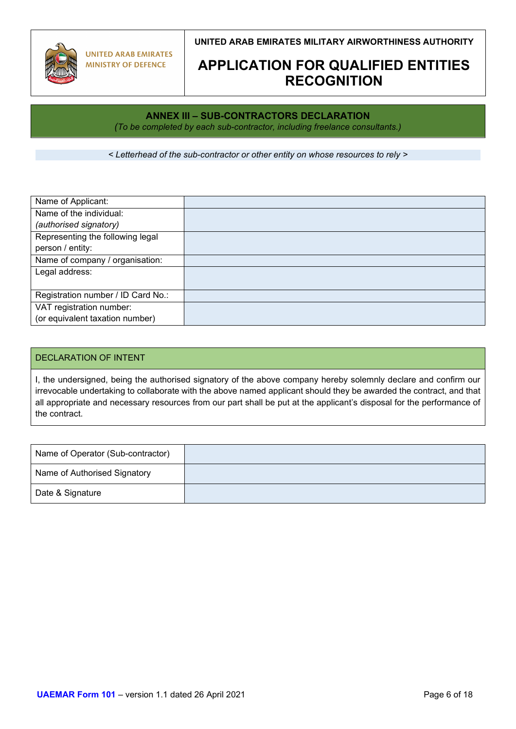

## **APPLICATION FOR QUALIFIED ENTITIES RECOGNITION**

## **ANNEX III – SUB-CONTRACTORS DECLARATION**

*(To be completed by each sub-contractor, including freelance consultants.)*

*< Letterhead of the sub-contractor or other entity on whose resources to rely >*

| Name of Applicant:                 |  |
|------------------------------------|--|
| Name of the individual:            |  |
| (authorised signatory)             |  |
| Representing the following legal   |  |
| person / entity:                   |  |
| Name of company / organisation:    |  |
| Legal address:                     |  |
|                                    |  |
| Registration number / ID Card No.: |  |
| VAT registration number:           |  |
| (or equivalent taxation number)    |  |

### DECLARATION OF INTENT

I, the undersigned, being the authorised signatory of the above company hereby solemnly declare and confirm our irrevocable undertaking to collaborate with the above named applicant should they be awarded the contract, and that all appropriate and necessary resources from our part shall be put at the applicant's disposal for the performance of the contract.

| Name of Operator (Sub-contractor) |  |
|-----------------------------------|--|
| Name of Authorised Signatory      |  |
| Date & Signature                  |  |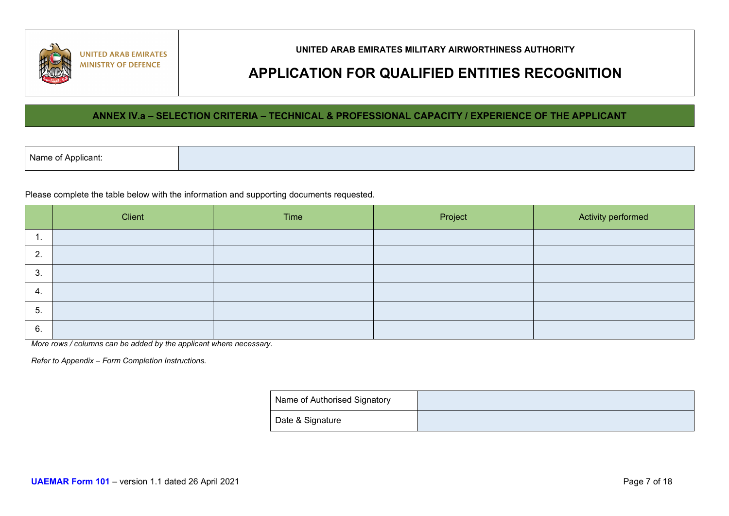

## **APPLICATION FOR QUALIFIED ENTITIES RECOGNITION**

### **ANNEX IV.a – SELECTION CRITERIA – TECHNICAL & PROFESSIONAL CAPACITY / EXPERIENCE OF THE APPLICANT**

Please complete the table below with the information and supporting documents requested.

|    | Client | Time | Project | Activity performed |
|----|--------|------|---------|--------------------|
|    |        |      |         |                    |
| 2. |        |      |         |                    |
| 3. |        |      |         |                    |
| 4. |        |      |         |                    |
| 5. |        |      |         |                    |
| 6. |        |      |         |                    |

*More rows / columns can be added by the applicant where necessary.*

*Refer to Appendix – Form Completion Instructions.*

| Name of Authorised Signatory |  |
|------------------------------|--|
| Date & Signature             |  |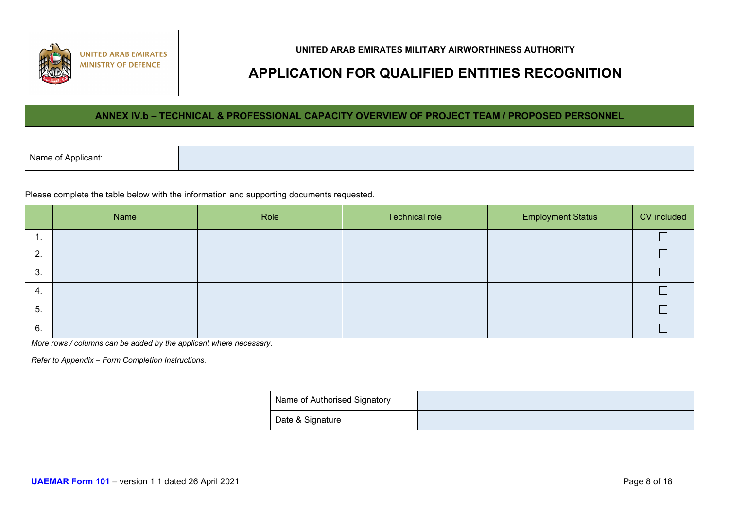

## **APPLICATION FOR QUALIFIED ENTITIES RECOGNITION**

### **ANNEX IV.b – TECHNICAL & PROFESSIONAL CAPACITY OVERVIEW OF PROJECT TEAM / PROPOSED PERSONNEL**

| Name of Applicant: |  |  |
|--------------------|--|--|
|--------------------|--|--|

Please complete the table below with the information and supporting documents requested.

|     | Name | Role | <b>Technical role</b> | <b>Employment Status</b> | CV included |
|-----|------|------|-----------------------|--------------------------|-------------|
| .   |      |      |                       |                          |             |
| 2.  |      |      |                       |                          |             |
| 3.  |      |      |                       |                          |             |
| 4.  |      |      |                       |                          | −           |
| -5. |      |      |                       |                          |             |
| 6.  |      |      |                       |                          |             |

*More rows / columns can be added by the applicant where necessary.*

*Refer to Appendix – Form Completion Instructions.*

| Name of Authorised Signatory |  |
|------------------------------|--|
| Date & Signature             |  |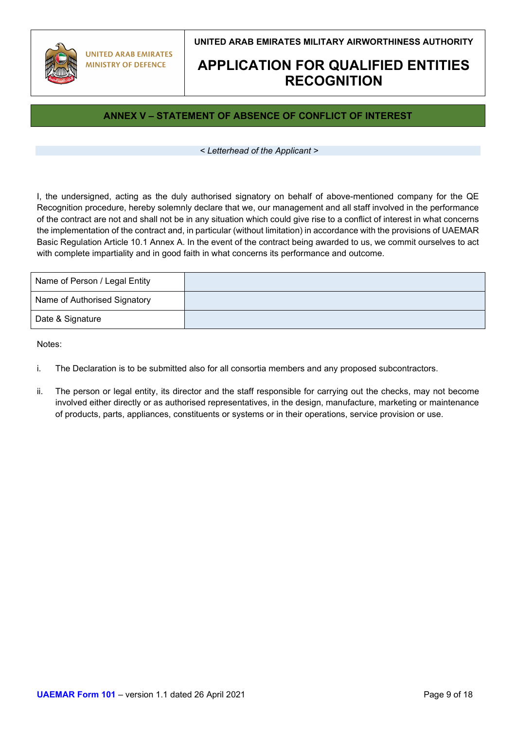

## **APPLICATION FOR QUALIFIED ENTITIES RECOGNITION**

## **ANNEX V – STATEMENT OF ABSENCE OF CONFLICT OF INTEREST**

#### *< Letterhead of the Applicant >*

I, the undersigned, acting as the duly authorised signatory on behalf of above-mentioned company for the QE Recognition procedure, hereby solemnly declare that we, our management and all staff involved in the performance of the contract are not and shall not be in any situation which could give rise to a conflict of interest in what concerns the implementation of the contract and, in particular (without limitation) in accordance with the provisions of UAEMAR Basic Regulation Article 10.1 Annex A. In the event of the contract being awarded to us, we commit ourselves to act with complete impartiality and in good faith in what concerns its performance and outcome.

| Name of Person / Legal Entity |  |
|-------------------------------|--|
| Name of Authorised Signatory  |  |
| Date & Signature              |  |

Notes:

- i. The Declaration is to be submitted also for all consortia members and any proposed subcontractors.
- ii. The person or legal entity, its director and the staff responsible for carrying out the checks, may not become involved either directly or as authorised representatives, in the design, manufacture, marketing or maintenance of products, parts, appliances, constituents or systems or in their operations, service provision or use.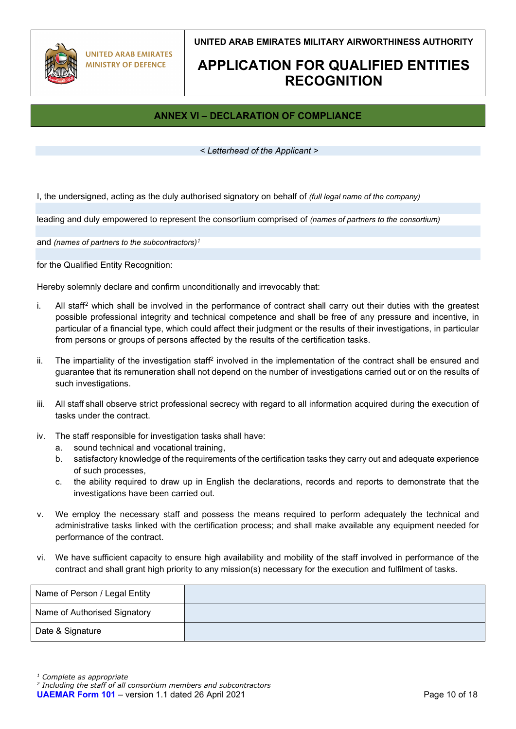

## **APPLICATION FOR QUALIFIED ENTITIES RECOGNITION**

## **ANNEX VI – DECLARATION OF COMPLIANCE**

#### *< Letterhead of the Applicant >*

I, the undersigned, acting as the duly authorised signatory on behalf of *(full legal name of the company)*

leading and duly empowered to represent the consortium comprised of *(names of partners to the consortium)*

and *(names of partners to the subcontractors)[1](#page-9-0)*

for the Qualified Entity Recognition:

Hereby solemnly declare and confirm unconditionally and irrevocably that:

- i. All staff[2](#page-9-1) which shall be involved in the performance of contract shall carry out their duties with the greatest possible professional integrity and technical competence and shall be free of any pressure and incentive, in particular of a financial type, which could affect their judgment or the results of their investigations, in particular from persons or groups of persons affected by the results of the certification tasks.
- ii. The impartiality of the investigation staff2 involved in the implementation of the contract shall be ensured and guarantee that its remuneration shall not depend on the number of investigations carried out or on the results of such investigations.
- iii. All staff shall observe strict professional secrecy with regard to all information acquired during the execution of tasks under the contract.
- iv. The staff responsible for investigation tasks shall have:
	- a. sound technical and vocational training,
	- b. satisfactory knowledge of the requirements of the certification tasks they carry out and adequate experience of such processes,
	- c. the ability required to draw up in English the declarations, records and reports to demonstrate that the investigations have been carried out.
- v. We employ the necessary staff and possess the means required to perform adequately the technical and administrative tasks linked with the certification process; and shall make available any equipment needed for performance of the contract.
- vi. We have sufficient capacity to ensure high availability and mobility of the staff involved in performance of the contract and shall grant high priority to any mission(s) necessary for the execution and fulfilment of tasks.

| Name of Person / Legal Entity |  |
|-------------------------------|--|
| Name of Authorised Signatory  |  |
| Date & Signature              |  |

<span id="page-9-0"></span>*<sup>1</sup> Complete as appropriate*

<span id="page-9-1"></span>*<sup>2</sup> Including the staff of all consortium members and subcontractors*

**UAEMAR Form 101** – version 1.1 dated 26 April 2021 **Page 10 of 18** Page 10 of 18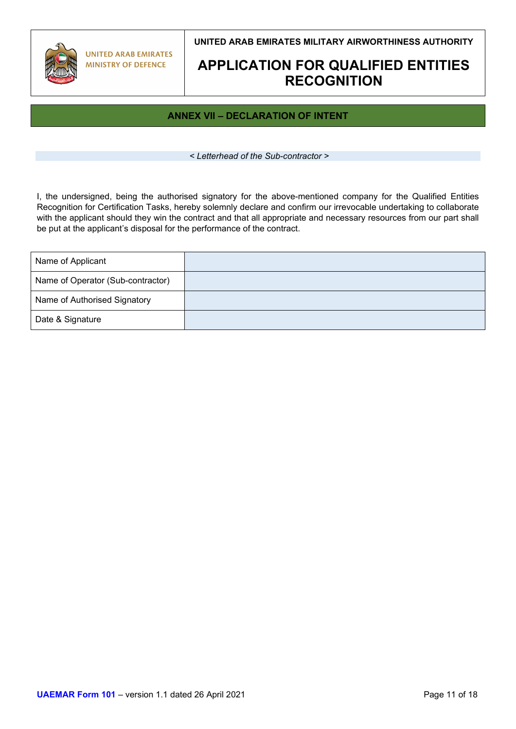

## **APPLICATION FOR QUALIFIED ENTITIES RECOGNITION**

## **ANNEX VII – DECLARATION OF INTENT**

*< Letterhead of the Sub-contractor >*

I, the undersigned, being the authorised signatory for the above-mentioned company for the Qualified Entities Recognition for Certification Tasks, hereby solemnly declare and confirm our irrevocable undertaking to collaborate with the applicant should they win the contract and that all appropriate and necessary resources from our part shall be put at the applicant's disposal for the performance of the contract.

| Name of Applicant                 |  |
|-----------------------------------|--|
| Name of Operator (Sub-contractor) |  |
| Name of Authorised Signatory      |  |
| Date & Signature                  |  |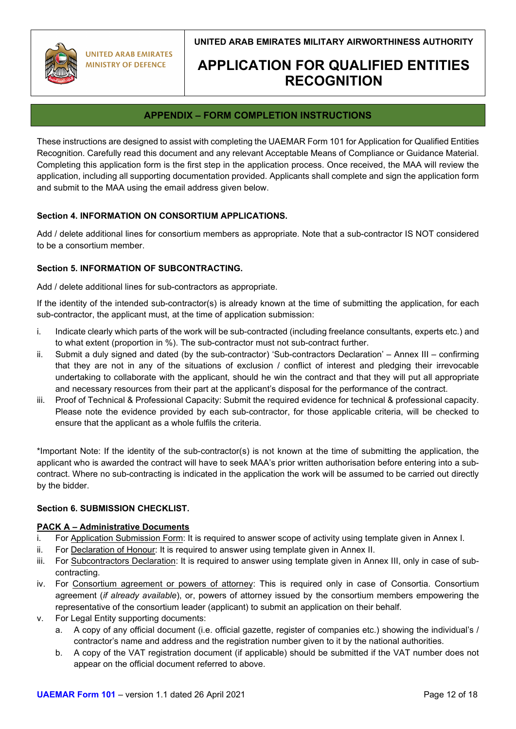

## **APPLICATION FOR QUALIFIED ENTITIES RECOGNITION**

## **APPENDIX – FORM COMPLETION INSTRUCTIONS**

These instructions are designed to assist with completing the UAEMAR Form 101 for Application for Qualified Entities Recognition. Carefully read this document and any relevant Acceptable Means of Compliance or Guidance Material. Completing this application form is the first step in the application process. Once received, the MAA will review the application, including all supporting documentation provided. Applicants shall complete and sign the application form and submit to the MAA using the email address given below.

### **Section 4. INFORMATION ON CONSORTIUM APPLICATIONS.**

Add / delete additional lines for consortium members as appropriate. Note that a sub-contractor IS NOT considered to be a consortium member.

### **Section 5. INFORMATION OF SUBCONTRACTING.**

Add / delete additional lines for sub-contractors as appropriate.

If the identity of the intended sub-contractor(s) is already known at the time of submitting the application, for each sub-contractor, the applicant must, at the time of application submission:

- i. Indicate clearly which parts of the work will be sub-contracted (including freelance consultants, experts etc.) and to what extent (proportion in %). The sub-contractor must not sub-contract further.
- ii. Submit a duly signed and dated (by the sub-contractor) 'Sub-contractors Declaration' Annex III confirming that they are not in any of the situations of exclusion / conflict of interest and pledging their irrevocable undertaking to collaborate with the applicant, should he win the contract and that they will put all appropriate and necessary resources from their part at the applicant's disposal for the performance of the contract.
- iii. Proof of Technical & Professional Capacity: Submit the required evidence for technical & professional capacity. Please note the evidence provided by each sub-contractor, for those applicable criteria, will be checked to ensure that the applicant as a whole fulfils the criteria.

\*Important Note: If the identity of the sub-contractor(s) is not known at the time of submitting the application, the applicant who is awarded the contract will have to seek MAA's prior written authorisation before entering into a subcontract. Where no sub-contracting is indicated in the application the work will be assumed to be carried out directly by the bidder.

### **Section 6. SUBMISSION CHECKLIST.**

### **PACK A – Administrative Documents**

- i. For Application Submission Form: It is required to answer scope of activity using template given in Annex I.
- ii. For Declaration of Honour: It is required to answer using template given in Annex II.
- iii. For Subcontractors Declaration: It is required to answer using template given in Annex III, only in case of subcontracting.
- iv. For Consortium agreement or powers of attorney: This is required only in case of Consortia. Consortium agreement (*if already available*), or, powers of attorney issued by the consortium members empowering the representative of the consortium leader (applicant) to submit an application on their behalf.
- v. For Legal Entity supporting documents:
	- a. A copy of any official document (i.e. official gazette, register of companies etc.) showing the individual's / contractor's name and address and the registration number given to it by the national authorities.
	- b. A copy of the VAT registration document (if applicable) should be submitted if the VAT number does not appear on the official document referred to above.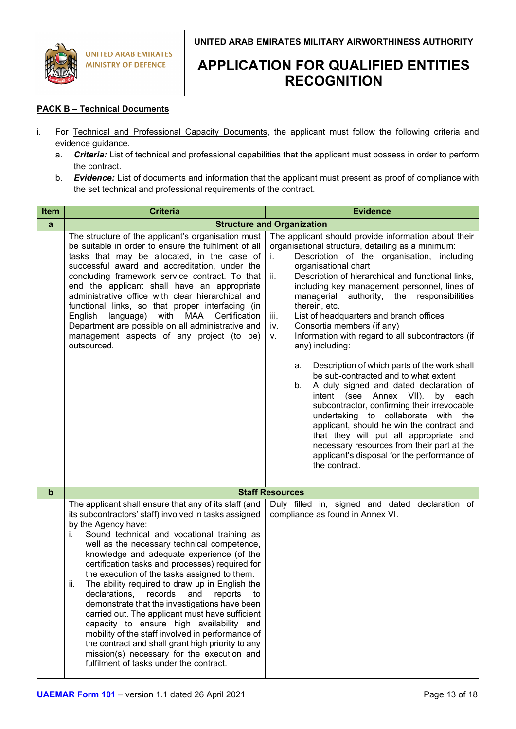

## **APPLICATION FOR QUALIFIED ENTITIES RECOGNITION**

### **PACK B – Technical Documents**

- i. For Technical and Professional Capacity Documents, the applicant must follow the following criteria and evidence guidance.
	- a. *Criteria:* List of technical and professional capabilities that the applicant must possess in order to perform the contract.
	- b. *Evidence:* List of documents and information that the applicant must present as proof of compliance with the set technical and professional requirements of the contract.

| Item        | <b>Criteria</b>                                                                                                                                                                                                                                                                                                                                                                                                                                                                                                                                                                                                                                                                                                                                                                                                                             | <b>Evidence</b>                                                                                                                                                                                                                                                                                                                                                                                                                                                                                                                                                                                                                                                                                                                                                                                                                                                                                                                                                                                                             |  |
|-------------|---------------------------------------------------------------------------------------------------------------------------------------------------------------------------------------------------------------------------------------------------------------------------------------------------------------------------------------------------------------------------------------------------------------------------------------------------------------------------------------------------------------------------------------------------------------------------------------------------------------------------------------------------------------------------------------------------------------------------------------------------------------------------------------------------------------------------------------------|-----------------------------------------------------------------------------------------------------------------------------------------------------------------------------------------------------------------------------------------------------------------------------------------------------------------------------------------------------------------------------------------------------------------------------------------------------------------------------------------------------------------------------------------------------------------------------------------------------------------------------------------------------------------------------------------------------------------------------------------------------------------------------------------------------------------------------------------------------------------------------------------------------------------------------------------------------------------------------------------------------------------------------|--|
| a           | <b>Structure and Organization</b>                                                                                                                                                                                                                                                                                                                                                                                                                                                                                                                                                                                                                                                                                                                                                                                                           |                                                                                                                                                                                                                                                                                                                                                                                                                                                                                                                                                                                                                                                                                                                                                                                                                                                                                                                                                                                                                             |  |
|             | The structure of the applicant's organisation must<br>be suitable in order to ensure the fulfilment of all<br>tasks that may be allocated, in the case of<br>successful award and accreditation, under the<br>concluding framework service contract. To that<br>end the applicant shall have an appropriate<br>administrative office with clear hierarchical and<br>functional links, so that proper interfacing (in<br>language) with MAA Certification<br>English<br>Department are possible on all administrative and<br>management aspects of any project (to be)<br>outsourced.                                                                                                                                                                                                                                                        | The applicant should provide information about their<br>organisational structure, detailing as a minimum:<br>Description of the organisation, including<br>i.<br>organisational chart<br>Description of hierarchical and functional links,<br>ii.<br>including key management personnel, lines of<br>authority, the responsibilities<br>managerial<br>therein, etc.<br>List of headquarters and branch offices<br>iii.<br>Consortia members (if any)<br>iv.<br>Information with regard to all subcontractors (if<br>v.<br>any) including:<br>Description of which parts of the work shall<br>а.<br>be sub-contracted and to what extent<br>A duly signed and dated declaration of<br>b.<br>intent (see Annex VII),<br>by each<br>subcontractor, confirming their irrevocable<br>undertaking to collaborate with<br>the<br>applicant, should he win the contract and<br>that they will put all appropriate and<br>necessary resources from their part at the<br>applicant's disposal for the performance of<br>the contract. |  |
| $\mathbf b$ |                                                                                                                                                                                                                                                                                                                                                                                                                                                                                                                                                                                                                                                                                                                                                                                                                                             | <b>Staff Resources</b>                                                                                                                                                                                                                                                                                                                                                                                                                                                                                                                                                                                                                                                                                                                                                                                                                                                                                                                                                                                                      |  |
|             | The applicant shall ensure that any of its staff (and<br>its subcontractors' staff) involved in tasks assigned<br>by the Agency have:<br>Sound technical and vocational training as<br>Ĺ.<br>well as the necessary technical competence,<br>knowledge and adequate experience (of the<br>certification tasks and processes) required for<br>the execution of the tasks assigned to them.<br>The ability required to draw up in English the<br>II.<br>declarations, records and reports to<br>demonstrate that the investigations have been<br>carried out. The applicant must have sufficient<br>capacity to ensure high availability and<br>mobility of the staff involved in performance of<br>the contract and shall grant high priority to any<br>mission(s) necessary for the execution and<br>fulfilment of tasks under the contract. | Duly filled in, signed and dated declaration of<br>compliance as found in Annex VI.                                                                                                                                                                                                                                                                                                                                                                                                                                                                                                                                                                                                                                                                                                                                                                                                                                                                                                                                         |  |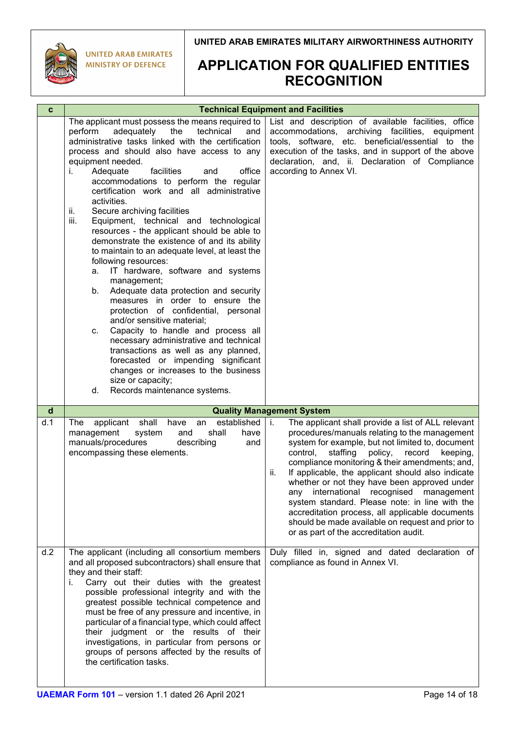

**UNITED ARAB EMIRATES MINISTRY OF DEFENCE** 

## **APPLICATION FOR QUALIFIED ENTITIES RECOGNITION**

| $\mathbf c$  |                                                                                                                                                                                                                                                                                                                                                                                                                                                                                                                                                                                                                                                                                                                                                                                                                                                                                                                                                                                                                                                                                                                                                         | <b>Technical Equipment and Facilities</b>                                                                                                                                                                                                                                                                                                                                                                                                                                                                                                                                                                                             |
|--------------|---------------------------------------------------------------------------------------------------------------------------------------------------------------------------------------------------------------------------------------------------------------------------------------------------------------------------------------------------------------------------------------------------------------------------------------------------------------------------------------------------------------------------------------------------------------------------------------------------------------------------------------------------------------------------------------------------------------------------------------------------------------------------------------------------------------------------------------------------------------------------------------------------------------------------------------------------------------------------------------------------------------------------------------------------------------------------------------------------------------------------------------------------------|---------------------------------------------------------------------------------------------------------------------------------------------------------------------------------------------------------------------------------------------------------------------------------------------------------------------------------------------------------------------------------------------------------------------------------------------------------------------------------------------------------------------------------------------------------------------------------------------------------------------------------------|
|              | The applicant must possess the means required to<br>perform<br>adequately<br>the<br>technical<br>and<br>administrative tasks linked with the certification<br>process and should also have access to any<br>equipment needed.<br>Adequate<br>facilities<br>office<br>and<br>i.<br>accommodations to perform the regular<br>certification work and all administrative<br>activities.<br>Secure archiving facilities<br>ii.<br>iii.<br>Equipment, technical and technological<br>resources - the applicant should be able to<br>demonstrate the existence of and its ability<br>to maintain to an adequate level, at least the<br>following resources:<br>IT hardware, software and systems<br>а.<br>management;<br>Adequate data protection and security<br>b.<br>measures in order to ensure the<br>protection of confidential, personal<br>and/or sensitive material;<br>Capacity to handle and process all<br>$C_{\cdot}$<br>necessary administrative and technical<br>transactions as well as any planned,<br>forecasted or impending significant<br>changes or increases to the business<br>size or capacity;<br>Records maintenance systems.<br>d. | List and description of available facilities, office<br>accommodations, archiving facilities, equipment<br>tools, software, etc. beneficial/essential to the<br>execution of the tasks, and in support of the above<br>declaration, and, ii. Declaration of Compliance<br>according to Annex VI.                                                                                                                                                                                                                                                                                                                                      |
| $\mathsf{d}$ |                                                                                                                                                                                                                                                                                                                                                                                                                                                                                                                                                                                                                                                                                                                                                                                                                                                                                                                                                                                                                                                                                                                                                         | <b>Quality Management System</b>                                                                                                                                                                                                                                                                                                                                                                                                                                                                                                                                                                                                      |
| d.1          | shall<br>established<br>applicant<br>have<br>The<br>an<br>management<br>system<br>shall<br>and<br>have<br>manuals/procedures<br>describing<br>and<br>encompassing these elements.                                                                                                                                                                                                                                                                                                                                                                                                                                                                                                                                                                                                                                                                                                                                                                                                                                                                                                                                                                       | The applicant shall provide a list of ALL relevant<br>i.<br>procedures/manuals relating to the management<br>system for example, but not limited to, document<br>staffing<br>control,<br>policy,<br>record<br>keeping,<br>compliance monitoring & their amendments; and,<br>If applicable, the applicant should also indicate<br>ii.<br>whether or not they have been approved under<br>international recognised management<br>any<br>system standard. Please note: in line with the<br>accreditation process, all applicable documents<br>should be made available on request and prior to<br>or as part of the accreditation audit. |
| d.2          | The applicant (including all consortium members<br>and all proposed subcontractors) shall ensure that<br>they and their staff:<br>i.<br>Carry out their duties with the greatest<br>possible professional integrity and with the<br>greatest possible technical competence and<br>must be free of any pressure and incentive, in<br>particular of a financial type, which could affect<br>their judgment or the results of their<br>investigations, in particular from persons or<br>groups of persons affected by the results of<br>the certification tasks.                                                                                                                                                                                                                                                                                                                                                                                                                                                                                                                                                                                           | Duly filled in, signed and dated declaration of<br>compliance as found in Annex VI.                                                                                                                                                                                                                                                                                                                                                                                                                                                                                                                                                   |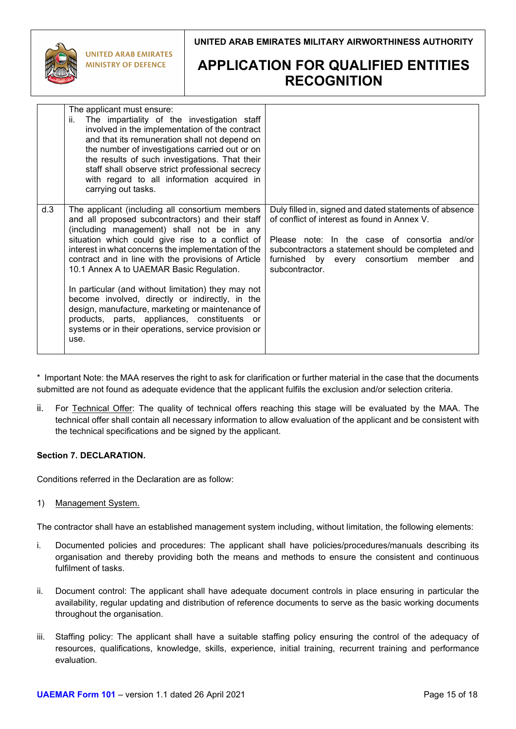

**UNITED ARAB EMIRATES MINISTRY OF DEFENCE** 

## **APPLICATION FOR QUALIFIED ENTITIES RECOGNITION**

|     | The applicant must ensure:<br>The impartiality of the investigation staff<br>ii.<br>involved in the implementation of the contract<br>and that its remuneration shall not depend on                                                                                                                                                                                                                                                                                                                                                                                                                                                              |                                                                                                                                                                                                                                                                               |
|-----|--------------------------------------------------------------------------------------------------------------------------------------------------------------------------------------------------------------------------------------------------------------------------------------------------------------------------------------------------------------------------------------------------------------------------------------------------------------------------------------------------------------------------------------------------------------------------------------------------------------------------------------------------|-------------------------------------------------------------------------------------------------------------------------------------------------------------------------------------------------------------------------------------------------------------------------------|
|     | the number of investigations carried out or on<br>the results of such investigations. That their<br>staff shall observe strict professional secrecy<br>with regard to all information acquired in<br>carrying out tasks.                                                                                                                                                                                                                                                                                                                                                                                                                         |                                                                                                                                                                                                                                                                               |
| d.3 | The applicant (including all consortium members<br>and all proposed subcontractors) and their staff<br>(including management) shall not be in any<br>situation which could give rise to a conflict of<br>interest in what concerns the implementation of the<br>contract and in line with the provisions of Article<br>10.1 Annex A to UAEMAR Basic Regulation.<br>In particular (and without limitation) they may not<br>become involved, directly or indirectly, in the<br>design, manufacture, marketing or maintenance of<br>products, parts, appliances, constituents<br>or<br>systems or in their operations, service provision or<br>use. | Duly filled in, signed and dated statements of absence<br>of conflict of interest as found in Annex V.<br>Please note: In the case of consortia and/or<br>subcontractors a statement should be completed and<br>furnished by every consortium member<br>and<br>subcontractor. |

\* Important Note: the MAA reserves the right to ask for clarification or further material in the case that the documents submitted are not found as adequate evidence that the applicant fulfils the exclusion and/or selection criteria.

ii. For Technical Offer: The quality of technical offers reaching this stage will be evaluated by the MAA. The technical offer shall contain all necessary information to allow evaluation of the applicant and be consistent with the technical specifications and be signed by the applicant.

### **Section 7. DECLARATION.**

Conditions referred in the Declaration are as follow:

1) Management System.

The contractor shall have an established management system including, without limitation, the following elements:

- i. Documented policies and procedures: The applicant shall have policies/procedures/manuals describing its organisation and thereby providing both the means and methods to ensure the consistent and continuous fulfilment of tasks.
- ii. Document control: The applicant shall have adequate document controls in place ensuring in particular the availability, regular updating and distribution of reference documents to serve as the basic working documents throughout the organisation.
- iii. Staffing policy: The applicant shall have a suitable staffing policy ensuring the control of the adequacy of resources, qualifications, knowledge, skills, experience, initial training, recurrent training and performance evaluation.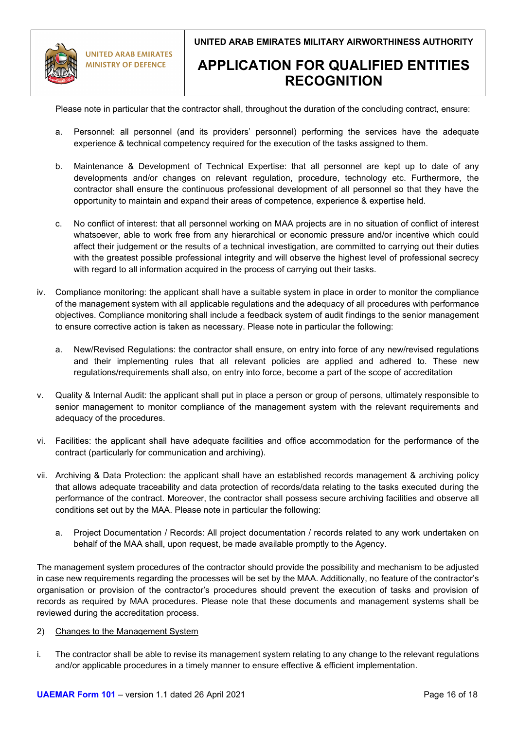

**UNITED ARAB EMIRATES MINISTRY OF DEFENCE** 

### **UNITED ARAB EMIRATES MILITARY AIRWORTHINESS AUTHORITY**

## **APPLICATION FOR QUALIFIED ENTITIES RECOGNITION**

Please note in particular that the contractor shall, throughout the duration of the concluding contract, ensure:

- a. Personnel: all personnel (and its providers' personnel) performing the services have the adequate experience & technical competency required for the execution of the tasks assigned to them.
- b. Maintenance & Development of Technical Expertise: that all personnel are kept up to date of any developments and/or changes on relevant regulation, procedure, technology etc. Furthermore, the contractor shall ensure the continuous professional development of all personnel so that they have the opportunity to maintain and expand their areas of competence, experience & expertise held.
- c. No conflict of interest: that all personnel working on MAA projects are in no situation of conflict of interest whatsoever, able to work free from any hierarchical or economic pressure and/or incentive which could affect their judgement or the results of a technical investigation, are committed to carrying out their duties with the greatest possible professional integrity and will observe the highest level of professional secrecy with regard to all information acquired in the process of carrying out their tasks.
- iv. Compliance monitoring: the applicant shall have a suitable system in place in order to monitor the compliance of the management system with all applicable regulations and the adequacy of all procedures with performance objectives. Compliance monitoring shall include a feedback system of audit findings to the senior management to ensure corrective action is taken as necessary. Please note in particular the following:
	- a. New/Revised Regulations: the contractor shall ensure, on entry into force of any new/revised regulations and their implementing rules that all relevant policies are applied and adhered to. These new regulations/requirements shall also, on entry into force, become a part of the scope of accreditation
- v. Quality & Internal Audit: the applicant shall put in place a person or group of persons, ultimately responsible to senior management to monitor compliance of the management system with the relevant requirements and adequacy of the procedures.
- vi. Facilities: the applicant shall have adequate facilities and office accommodation for the performance of the contract (particularly for communication and archiving).
- vii. Archiving & Data Protection: the applicant shall have an established records management & archiving policy that allows adequate traceability and data protection of records/data relating to the tasks executed during the performance of the contract. Moreover, the contractor shall possess secure archiving facilities and observe all conditions set out by the MAA. Please note in particular the following:
	- a. Project Documentation / Records: All project documentation / records related to any work undertaken on behalf of the MAA shall, upon request, be made available promptly to the Agency.

The management system procedures of the contractor should provide the possibility and mechanism to be adjusted in case new requirements regarding the processes will be set by the MAA. Additionally, no feature of the contractor's organisation or provision of the contractor's procedures should prevent the execution of tasks and provision of records as required by MAA procedures. Please note that these documents and management systems shall be reviewed during the accreditation process.

#### 2) Changes to the Management System

i. The contractor shall be able to revise its management system relating to any change to the relevant regulations and/or applicable procedures in a timely manner to ensure effective & efficient implementation.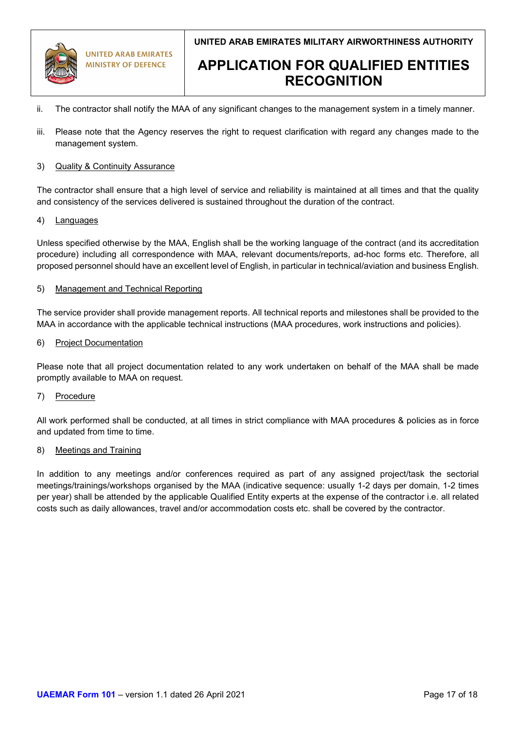

**UNITED ARAB EMIRATES MINISTRY OF DEFENCE** 

**UNITED ARAB EMIRATES MILITARY AIRWORTHINESS AUTHORITY**

## **APPLICATION FOR QUALIFIED ENTITIES RECOGNITION**

- ii. The contractor shall notify the MAA of any significant changes to the management system in a timely manner.
- iii. Please note that the Agency reserves the right to request clarification with regard any changes made to the management system.

#### 3) Quality & Continuity Assurance

The contractor shall ensure that a high level of service and reliability is maintained at all times and that the quality and consistency of the services delivered is sustained throughout the duration of the contract.

#### 4) Languages

Unless specified otherwise by the MAA, English shall be the working language of the contract (and its accreditation procedure) including all correspondence with MAA, relevant documents/reports, ad-hoc forms etc. Therefore, all proposed personnel should have an excellent level of English, in particular in technical/aviation and business English.

#### 5) Management and Technical Reporting

The service provider shall provide management reports. All technical reports and milestones shall be provided to the MAA in accordance with the applicable technical instructions (MAA procedures, work instructions and policies).

#### 6) Project Documentation

Please note that all project documentation related to any work undertaken on behalf of the MAA shall be made promptly available to MAA on request.

### 7) Procedure

All work performed shall be conducted, at all times in strict compliance with MAA procedures & policies as in force and updated from time to time.

#### 8) Meetings and Training

In addition to any meetings and/or conferences required as part of any assigned project/task the sectorial meetings/trainings/workshops organised by the MAA (indicative sequence: usually 1-2 days per domain, 1-2 times per year) shall be attended by the applicable Qualified Entity experts at the expense of the contractor i.e. all related costs such as daily allowances, travel and/or accommodation costs etc. shall be covered by the contractor.